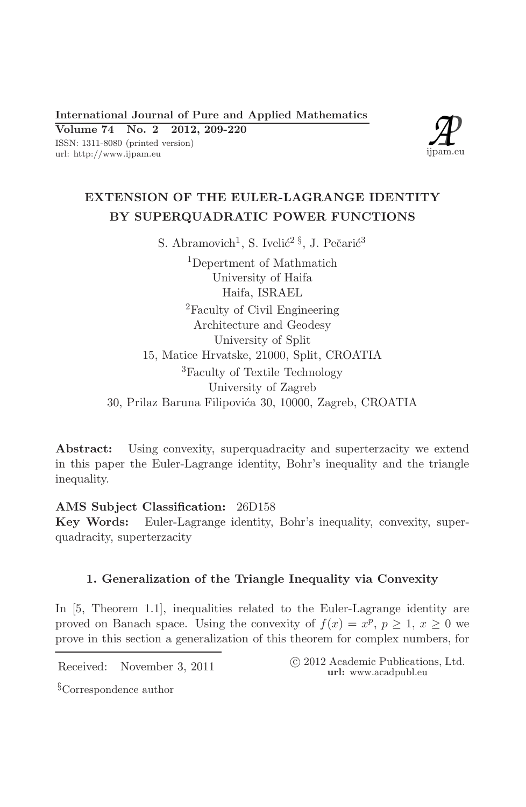International Journal of Pure and Applied Mathematics

Volume  $74$  No. 2 2012, 209-220 ISSN: 1311-8080 (printed version) url: http://www.ijpam.eu



# EXTENSION OF THE EULER-LAGRANGE IDENTITY BY SUPERQUADRATIC POWER FUNCTIONS

S. Abramovich<sup>1</sup>, S. Ivelić<sup>2 §</sup>, J. Pečarić<sup>3</sup> <sup>1</sup>Depertment of Mathmatich University of Haifa Haifa, ISRAEL <sup>2</sup>Faculty of Civil Engineering Architecture and Geodesy University of Split 15, Matice Hrvatske, 21000, Split, CROATIA <sup>3</sup>Faculty of Textile Technology University of Zagreb 30, Prilaz Baruna Filipovića 30, 10000, Zagreb, CROATIA

Abstract: Using convexity, superquadracity and superterzacity we extend in this paper the Euler-Lagrange identity, Bohr's inequality and the triangle inequality.

AMS Subject Classification: 26D158 Key Words: Euler-Lagrange identity, Bohr's inequality, convexity, superquadracity, superterzacity

## 1. Generalization of the Triangle Inequality via Convexity

In [5, Theorem 1.1], inequalities related to the Euler-Lagrange identity are proved on Banach space. Using the convexity of  $f(x) = x^p$ ,  $p \ge 1$ ,  $x \ge 0$  we prove in this section a generalization of this theorem for complex numbers, for

Received: November 3, 2011

© 2012 Academic Publications, Ltd. url: www.acadpubl.eu

<sup>§</sup>Correspondence author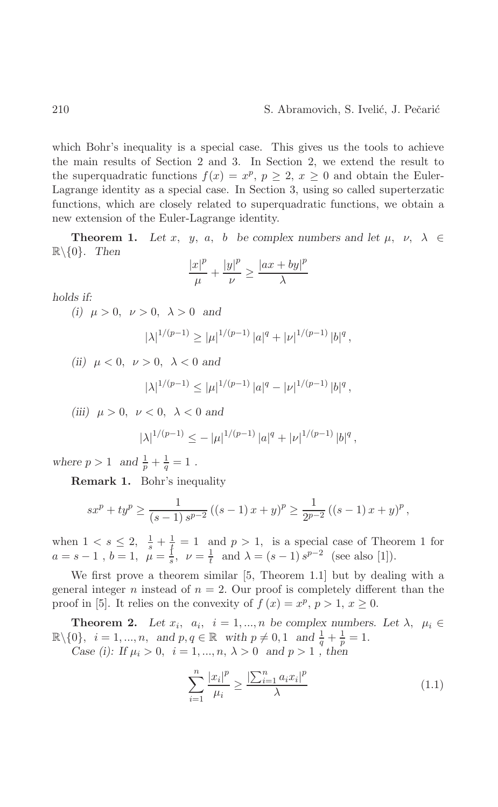which Bohr's inequality is a special case. This gives us the tools to achieve the main results of Section 2 and 3. In Section 2, we extend the result to the superquadratic functions  $f(x) = x^p$ ,  $p \ge 2$ ,  $x \ge 0$  and obtain the Euler-Lagrange identity as a special case. In Section 3, using so called superterzation functions, which are closely related to superquadratic functions, we obtain a new extension of the Euler-Lagrange identity.

**Theorem 1.** Let x, y, a, b be complex numbers and let  $\mu$ ,  $\nu$ ,  $\lambda \in$  $\mathbb{R}\backslash\{0\}$ . Then

$$
\frac{|x|^p}{\mu} + \frac{|y|^p}{\nu} \ge \frac{|ax + by|^p}{\lambda}
$$

holds if:

(i)  $\mu > 0$ ,  $\nu > 0$ ,  $\lambda > 0$  and

$$
|\lambda|^{1/(p-1)} \ge |\mu|^{1/(p-1)} |a|^q + |\nu|^{1/(p-1)} |b|^q
$$

(ii)  $\mu < 0$ ,  $\nu > 0$ ,  $\lambda < 0$  and

$$
|\lambda|^{1/(p-1)} \leq |\mu|^{1/(p-1)} |a|^q - |\nu|^{1/(p-1)} |b|^q,
$$

(iii)  $\mu > 0$ ,  $\nu < 0$ ,  $\lambda < 0$  and

$$
|\lambda|^{1/(p-1)} \le -|\mu|^{1/(p-1)} |a|^q + |\nu|^{1/(p-1)} |b|^q,
$$

where  $p > 1$  and  $\frac{1}{p} + \frac{1}{q} = 1$ .

**Remark 1.** Bohr's inequality

$$
sx^{p} + ty^{p} \ge \frac{1}{(s-1) s^{p-2}} ((s-1)x + y)^{p} \ge \frac{1}{2^{p-2}} ((s-1)x + y)^{p},
$$

when  $1 < s \le 2$ ,  $\frac{1}{s} + \frac{1}{t} = 1$  and  $p > 1$ , is a special case of Theorem 1 for  $a = s - 1$ ,  $b = 1$ ,  $\mu = \frac{1}{s}$ ,  $\nu = \frac{1}{t}$  and  $\lambda = (s - 1) s^{p-2}$  (see also [1]).

We first prove a theorem similar  $[5,$  Theorem 1.1 but by dealing with a general integer *n* instead of  $n = 2$ . Our proof is completely different than the proof in [5]. It relies on the convexity of  $f(x) = x^p$ ,  $p > 1$ ,  $x \ge 0$ .

**Theorem 2.** Let  $x_i$ ,  $a_i$ ,  $i = 1,...,n$  be complex numbers. Let  $\lambda$ ,  $\mu_i \in$  $\mathbb{R}\setminus\{0\}, i = 1, ..., n, \text{ and } p, q \in \mathbb{R} \text{ with } p \neq 0, 1 \text{ and } \frac{1}{q} + \frac{1}{p} = 1.$ Case (i): If  $\mu_i > 0$ ,  $i = 1, ..., n$ ,  $\lambda > 0$  and  $p > 1$ , then

$$
\sum_{i=1}^{n} \frac{|x_i|^p}{\mu_i} \ge \frac{\left|\sum_{i=1}^{n} a_i x_i\right|^p}{\lambda} \tag{1.1}
$$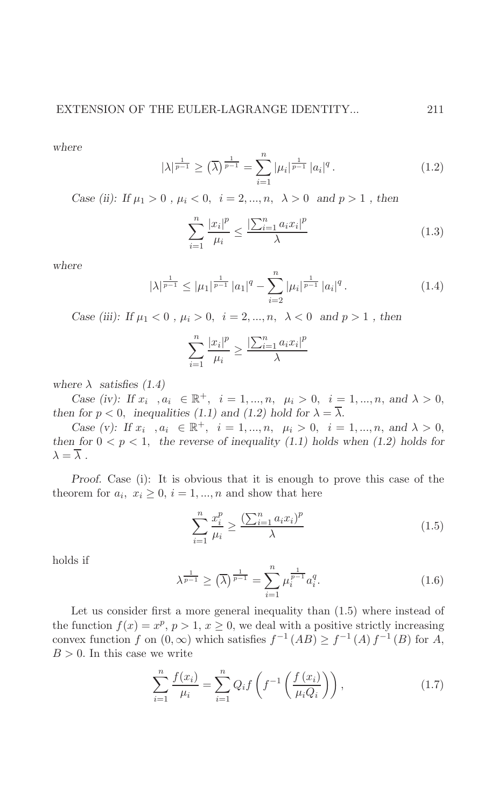where

$$
|\lambda|^{\frac{1}{p-1}} \geq (\overline{\lambda})^{\frac{1}{p-1}} = \sum_{i=1}^{n} |\mu_i|^{\frac{1}{p-1}} |a_i|^q.
$$
 (1.2)

Case (ii): If  $\mu_1 > 0$ ,  $\mu_i < 0$ ,  $i = 2, ..., n$ ,  $\lambda > 0$  and  $p > 1$ , then

$$
\sum_{i=1}^{n} \frac{|x_i|^p}{\mu_i} \le \frac{|\sum_{i=1}^{n} a_i x_i|^p}{\lambda}
$$
 (1.3)

where

$$
|\lambda|^{\frac{1}{p-1}} \le |\mu_1|^{\frac{1}{p-1}} |a_1|^q - \sum_{i=2}^n |\mu_i|^{\frac{1}{p-1}} |a_i|^q.
$$
 (1.4)

Case (iii): If 
$$
\mu_1 < 0
$$
,  $\mu_i > 0$ ,  $i = 2, \ldots, n$ ,  $\lambda < 0$  and  $p > 1$ , then

$$
\sum_{i=1}^{n} \frac{|x_i|^p}{\mu_i} \ge \frac{\left|\sum_{i=1}^{n} a_i x_i\right|^p}{\lambda}
$$

where  $\lambda$  satisfies (1.4)

Case (iv): If  $x_i$ ,  $a_i \in \mathbb{R}^+$ ,  $i = 1,...,n$ ,  $\mu_i > 0$ ,  $i = 1,...,n$ , and  $\lambda > 0$ , then for  $p < 0$ , inequalities (1.1) and (1.2) hold for  $\lambda = \overline{\lambda}$ .

Case (v): If  $x_i$ ,  $a_i \in \mathbb{R}^+, i = 1, ..., n, \mu_i > 0, i = 1, ..., n, \text{ and } \lambda > 0,$ then for  $0 < p < 1$ , the reverse of inequality (1.1) holds when (1.2) holds for  $\lambda = \overline{\lambda}$ .

Proof. Case (i): It is obvious that it is enough to prove this case of the theorem for  $a_i, x_i \geq 0, i = 1, ..., n$  and show that here

$$
\sum_{i=1}^{n} \frac{x_i^p}{\mu_i} \ge \frac{\left(\sum_{i=1}^{n} a_i x_i\right)^p}{\lambda} \tag{1.5}
$$

holds if

$$
\lambda^{\frac{1}{p-1}} \ge (\overline{\lambda})^{\frac{1}{p-1}} = \sum_{i=1}^{n} \mu_i^{\frac{1}{p-1}} a_i^q.
$$
 (1.6)

Let us consider first a more general inequality than  $(1.5)$  where instead of the function  $f(x) = x^p$ ,  $p > 1$ ,  $x \ge 0$ , we deal with a positive strictly increasing convex function f on  $(0, \infty)$  which satisfies  $f^{-1}(AB) \ge f^{-1}(A) f^{-1}(B)$  for A,  $B > 0$ . In this case we write

$$
\sum_{i=1}^{n} \frac{f(x_i)}{\mu_i} = \sum_{i=1}^{n} Q_i f\left(f^{-1}\left(\frac{f(x_i)}{\mu_i Q_i}\right)\right),\tag{1.7}
$$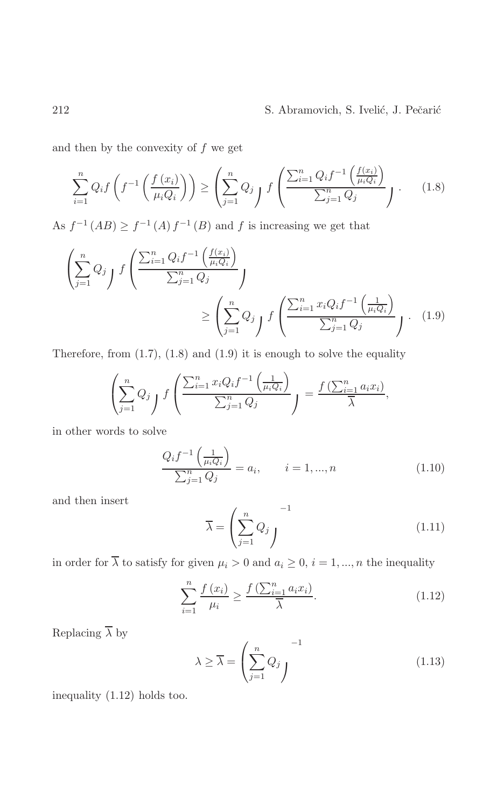and then by the convexity of  $f$  we get

$$
\sum_{i=1}^{n} Q_{i} f\left(f^{-1}\left(\frac{f(x_{i})}{\mu_{i} Q_{i}}\right)\right) \geq \left(\sum_{j=1}^{n} Q_{j} f\left(\frac{\sum_{i=1}^{n} Q_{i} f^{-1}\left(\frac{f(x_{i})}{\mu_{i} Q_{i}}\right)}{\sum_{j=1}^{n} Q_{j}}\right) \right).
$$
 (1.8)

As  $f^{-1}(AB) \ge f^{-1}(A) f^{-1}(B)$  and f is increasing we get that

$$
\left(\sum_{j=1}^{n} Q_j \int f\left(\frac{\sum_{i=1}^{n} Q_i f^{-1}\left(\frac{f(x_i)}{\mu_i Q_i}\right)}{\sum_{j=1}^{n} Q_j}\right) \ge \left(\sum_{j=1}^{n} Q_j \int f\left(\frac{\sum_{i=1}^{n} x_i Q_i f^{-1}\left(\frac{1}{\mu_i Q_i}\right)}{\sum_{j=1}^{n} Q_j}\right) \right).
$$
\n(1.9)

Therefore, from  $(1.7)$ ,  $(1.8)$  and  $(1.9)$  it is enough to solve the equality

$$
\left(\sum_{j=1}^n Q_j\right) f\left(\frac{\sum_{i=1}^n x_i Q_i f^{-1}\left(\frac{1}{\mu_i Q_i}\right)}{\sum_{j=1}^n Q_j}\right) = \frac{f\left(\sum_{i=1}^n a_i x_i\right)}{\overline{\lambda}},
$$

in other words to solve

$$
\frac{Q_i f^{-1}\left(\frac{1}{\mu_i Q_i}\right)}{\sum_{j=1}^n Q_j} = a_i, \qquad i = 1, ..., n
$$
\n(1.10)

and then insert

$$
\overline{\lambda} = \left(\sum_{j=1}^{n} Q_j\right)^{-1} \tag{1.11}
$$

in order for  $\overline{\lambda}$  to satisfy for given  $\mu_i > 0$  and  $a_i \geq 0$ ,  $i = 1, ..., n$  the inequality

$$
\sum_{i=1}^{n} \frac{f(x_i)}{\mu_i} \ge \frac{f\left(\sum_{i=1}^{n} a_i x_i\right)}{\overline{\lambda}}.\tag{1.12}
$$

Replacing  $\overline{\lambda}$  by

$$
\lambda \ge \overline{\lambda} = \left(\sum_{j=1}^{n} Q_j\right)^{-1} \tag{1.13}
$$

inequality  $(1.12)$  holds too.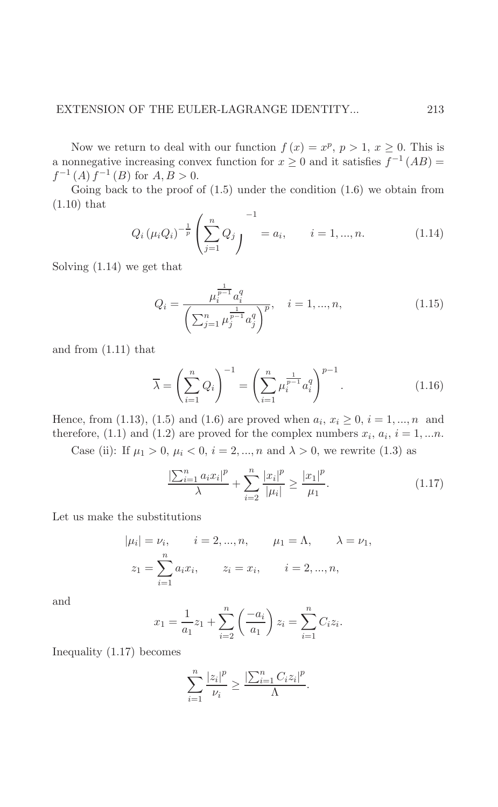Now we return to deal with our function  $f(x) = x^p$ ,  $p > 1$ ,  $x \ge 0$ . This is a nonnegative increasing convex function for  $x \ge 0$  and it satisfies  $f^{-1}(AB) =$  $f^{-1}(A) f^{-1}(B)$  for  $A, B > 0$ .

Going back to the proof of  $(1.5)$  under the condition  $(1.6)$  we obtain from  $(1.10)$  that

$$
Q_i (\mu_i Q_i)^{-\frac{1}{p}} \left( \sum_{j=1}^n Q_j \right)^{-1} = a_i, \qquad i = 1, ..., n. \tag{1.14}
$$

Solving  $(1.14)$  we get that

$$
Q_i = \frac{\mu_i^{\frac{1}{p-1}} a_i^q}{\left(\sum_{j=1}^n \mu_j^{\frac{1}{p-1}} a_j^q\right)^p}, \quad i = 1, ..., n,
$$
\n(1.15)

and from  $(1.11)$  that

$$
\overline{\lambda} = \left(\sum_{i=1}^{n} Q_i\right)^{-1} = \left(\sum_{i=1}^{n} \mu_i^{\frac{1}{p-1}} a_i^q\right)^{p-1}.
$$
\n(1.16)

Hence, from (1.13), (1.5) and (1.6) are proved when  $a_i, x_i \ge 0, i = 1, ..., n$  and therefore, (1.1) and (1.2) are proved for the complex numbers  $x_i$ ,  $a_i$ ,  $i = 1,...n$ .

Case (ii): If  $\mu_1 > 0$ ,  $\mu_i < 0$ ,  $i = 2, ..., n$  and  $\lambda > 0$ , we rewrite (1.3) as

$$
\frac{\left|\sum_{i=1}^{n} a_i x_i\right|^p}{\lambda} + \sum_{i=2}^{n} \frac{|x_i|^p}{|\mu_i|} \ge \frac{|x_1|^p}{\mu_1}.\tag{1.17}
$$

Let us make the substitutions

$$
|\mu_i| = \nu_i
$$
,  $i = 2, ..., n$ ,  $\mu_1 = \Lambda$ ,  $\lambda = \nu_1$ ,  
 $z_1 = \sum_{i=1}^n a_i x_i$ ,  $z_i = x_i$ ,  $i = 2, ..., n$ ,

and

$$
x_1 = \frac{1}{a_1} z_1 + \sum_{i=2}^n \left( \frac{-a_i}{a_1} \right) z_i = \sum_{i=1}^n C_i z_i.
$$

Inequality  $(1.17)$  becomes

$$
\sum_{i=1}^n \frac{|z_i|^p}{\nu_i} \ge \frac{\left|\sum_{i=1}^n C_i z_i\right|^p}{\Lambda}.
$$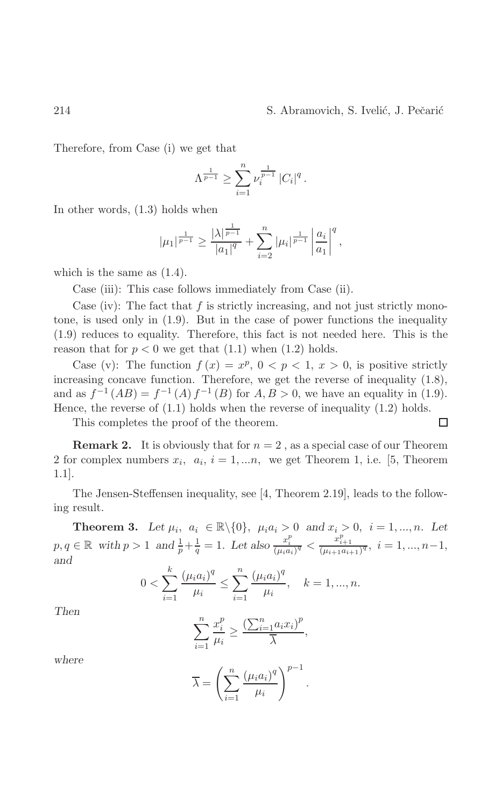Therefore, from Case (i) we get that

$$
\Lambda^{\frac{1}{p-1}} \ge \sum_{i=1}^n \nu_i^{\frac{1}{p-1}} |C_i|^q.
$$

In other words,  $(1.3)$  holds when

$$
|\mu_1|^{\frac{1}{p-1}} \geq \frac{|\lambda|^{\frac{1}{p-1}}}{|a_1|^q} + \sum_{i=2}^n |\mu_i|^{\frac{1}{p-1}} \left| \frac{a_i}{a_1} \right|^q,
$$

which is the same as  $(1.4)$ .

Case (iii): This case follows immediately from Case (ii).

Case (iv): The fact that  $f$  is strictly increasing, and not just strictly monotone, is used only in  $(1.9)$ . But in the case of power functions the inequality  $(1.9)$  reduces to equality. Therefore, this fact is not needed here. This is the reason that for  $p < 0$  we get that (1.1) when (1.2) holds.

Case (v): The function  $f(x) = x^p$ ,  $0 < p < 1$ ,  $x > 0$ , is positive strictly increasing concave function. Therefore, we get the reverse of inequality  $(1.8)$ , and as  $f^{-1}(AB) = f^{-1}(A) f^{-1}(B)$  for  $A, B > 0$ , we have an equality in (1.9). Hence, the reverse of  $(1.1)$  holds when the reverse of inequality  $(1.2)$  holds.

This completes the proof of the theorem.

**Remark 2.** It is obviously that for  $n = 2$ , as a special case of our Theorem 2 for complex numbers  $x_i$ ,  $a_i$ ,  $i = 1,...n$ , we get Theorem 1, i.e. [5, Theorem  $1.1$ .

The Jensen-Steffensen inequality, see [4, Theorem 2.19], leads to the following result.

**Theorem 3.** Let  $\mu_i$ ,  $a_i \in \mathbb{R} \setminus \{0\}$ ,  $\mu_i a_i > 0$  and  $x_i > 0$ ,  $i = 1, ..., n$ . Let  $p, q \in \mathbb{R}$  with  $p > 1$  and  $\frac{1}{p} + \frac{1}{q} = 1$ . Let also  $\frac{x_i^p}{(\mu_i a_i)^q} < \frac{x_{i+1}^p}{(\mu_{i+1} a_{i+1})^q}$ ,  $i = 1, ..., n-1$ , and

$$
0 < \sum_{i=1}^{k} \frac{(\mu_i a_i)^q}{\mu_i} \le \sum_{i=1}^{n} \frac{(\mu_i a_i)^q}{\mu_i}, \quad k = 1, \dots, n.
$$

Then

$$
\sum_{i=1}^{n} \frac{x_i^p}{\mu_i} \ge \frac{\left(\sum_{i=1}^{n} a_i x_i\right)^p}{\overline{\lambda}},
$$

where

$$
\overline{\lambda} = \left(\sum_{i=1}^n \frac{(\mu_i a_i)^q}{\mu_i}\right)^{p-1}.
$$

 $\Box$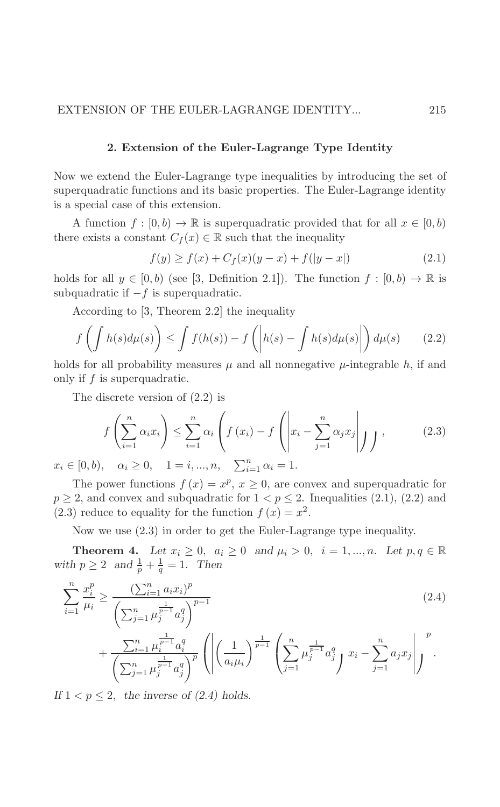### 2. Extension of the Euler-Lagrange Type Identity

Now we extend the Euler-Lagrange type inequalities by introducing the set of superquadratic functions and its basic properties. The Euler-Lagrange identity is a special case of this extension.

A function  $f : [0, b) \to \mathbb{R}$  is superquadratic provided that for all  $x \in [0, b)$ there exists a constant  $C_f(x) \in \mathbb{R}$  such that the inequality

$$
f(y) \ge f(x) + C_f(x)(y - x) + f(|y - x|)
$$
\n(2.1)

holds for all  $y \in [0, b)$  (see [3, Definition 2.1]). The function  $f : [0, b) \to \mathbb{R}$  is subquadratic if  $-f$  is superquadratic.

According to  $[3,$  Theorem 2.2 the inequality

$$
f\left(\int h(s)d\mu(s)\right) \le \int f(h(s)) - f\left(\left|h(s) - \int h(s)d\mu(s)\right|\right) d\mu(s) \tag{2.2}
$$

holds for all probability measures  $\mu$  and all nonnegative  $\mu$ -integrable h, if and only if  $f$  is superquadratic.

The discrete version of  $(2.2)$  is

$$
f\left(\sum_{i=1}^{n} \alpha_i x_i\right) \le \sum_{i=1}^{n} \alpha_i \left(f\left(x_i\right) - f\left(\left|x_i - \sum_{j=1}^{n} \alpha_j x_j\right|\right)\right),\tag{2.3}
$$

 $x_i \in [0, b), \quad \alpha_i \ge 0, \quad 1 = i, ..., n, \quad \sum_{i=1}^n \alpha_i = 1.$ 

The power functions  $f(x) = x^p, x \ge 0$ , are convex and superquadratic for  $p \geq 2$ , and convex and subquadratic for  $1 < p \leq 2$ . Inequalities (2.1), (2.2) and  $(2.3)$  reduce to equality for the function  $f(x) = x^2$ .

Now we use  $(2.3)$  in order to get the Euler-Lagrange type inequality.

**Theorem 4.** Let  $x_i \geq 0$ ,  $a_i \geq 0$  and  $\mu_i > 0$ ,  $i = 1, ..., n$ . Let  $p, q \in \mathbb{R}$ with  $p \ge 2$  and  $\frac{1}{p} + \frac{1}{q} = 1$ . Then

$$
\sum_{i=1}^{n} \frac{x_i^p}{\mu_i} \ge \frac{\left(\sum_{i=1}^{n} a_i x_i\right)^p}{\left(\sum_{j=1}^{n} \mu_j^{\frac{1}{p-1}} a_j^q\right)^{p-1}}
$$
\n(2.4)

$$
+\frac{\sum_{i=1}^n \mu_i^{\frac{1}{p-1}} a_i^q}{\left(\sum_{j=1}^n \mu_j^{\frac{1}{p-1}} a_j^q\right)^p} \left( \left| \left(\frac{1}{a_i \mu_i}\right)^{\frac{1}{p-1}} \left(\sum_{j=1}^n \mu_j^{\frac{1}{p-1}} a_j^q\right) x_i - \sum_{j=1}^n a_j x_j \right| \right)^p.
$$

If  $1 < p \leq 2$ , the inverse of (2.4) holds.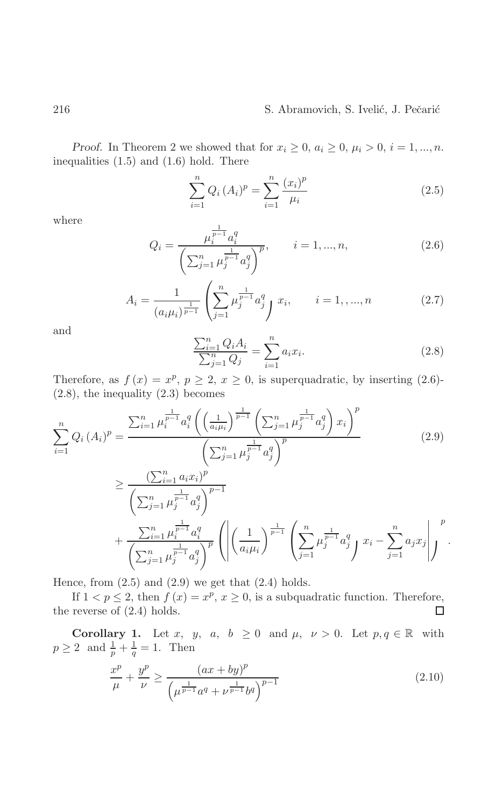*Proof.* In Theorem 2 we showed that for  $x_i \geq 0$ ,  $a_i \geq 0$ ,  $\mu_i > 0$ ,  $i = 1, ..., n$ . inequalities  $(1.5)$  and  $(1.6)$  hold. There

$$
\sum_{i=1}^{n} Q_i (A_i)^p = \sum_{i=1}^{n} \frac{(x_i)^p}{\mu_i}
$$
\n(2.5)

where

$$
Q_i = \frac{\mu_i^{\frac{1}{p-1}} a_i^q}{\left(\sum_{j=1}^n \mu_j^{\frac{1}{p-1}} a_j^q\right)^p}, \qquad i = 1, ..., n,
$$
\n(2.6)

$$
A_i = \frac{1}{(a_i \mu_i)^{\frac{1}{p-1}}} \left( \sum_{j=1}^n \mu_j^{\frac{1}{p-1}} a_j^q \right) x_i, \qquad i = 1, \dots, n
$$
 (2.7)

and

$$
\frac{\sum_{i=1}^{n} Q_i A_i}{\sum_{j=1}^{n} Q_j} = \sum_{i=1}^{n} a_i x_i.
$$
\n(2.8)

Therefore, as  $f(x) = x^p$ ,  $p \ge 2$ ,  $x \ge 0$ , is superquadratic, by inserting (2.6)- $(2.8)$ , the inequality  $(2.3)$  becomes

$$
\sum_{i=1}^{n} Q_i (A_i)^p = \frac{\sum_{i=1}^{n} \mu_i^{\frac{1}{p-1}} a_i^q \left( \left( \frac{1}{a_i \mu_i} \right)^{\frac{1}{p-1}} \left( \sum_{j=1}^{n} \mu_j^{\frac{1}{p-1}} a_j^q \right) x_i \right)^p}{\left( \sum_{j=1}^{n} \mu_j^{\frac{1}{p-1}} a_j^q \right)^p}
$$
\n
$$
\geq \frac{\left( \sum_{i=1}^{n} a_i x_i \right)^p}{\left( \sum_{j=1}^{n} \mu_j^{\frac{1}{p-1}} a_j^q \right)^{p-1}}
$$
\n(2.9)

$$
+\frac{\sum_{i=1}^n \mu_i^{\frac{1}{p-1}} a_i^q}{\left(\sum_{j=1}^n \mu_j^{\frac{1}{p-1}} a_j^q\right)^p} \left( \left| \left(\frac{1}{a_i \mu_i}\right)^{\frac{1}{p-1}} \left(\sum_{j=1}^n \mu_j^{\frac{1}{p-1}} a_j^q\right) x_i - \sum_{j=1}^n a_j x_j \right| \right)^p
$$

Hence, from  $(2.5)$  and  $(2.9)$  we get that  $(2.4)$  holds.

If  $1 < p \leq 2$ , then  $f(x) = x^p$ ,  $x \geq 0$ , is a subquadratic function. Therefore, the reverse of  $(2.4)$  holds. □

**Corollary 1.** Let x, y, a,  $b \ge 0$  and  $\mu$ ,  $\nu > 0$ . Let  $p, q \in \mathbb{R}$  with  $p \ge 2$  and  $\frac{1}{p} + \frac{1}{q} = 1$ . Then

$$
\frac{x^p}{\mu} + \frac{y^p}{\nu} \ge \frac{(ax + by)^p}{\left(\mu^{\frac{1}{p-1}} a^q + \nu^{\frac{1}{p-1}} b^q\right)^{p-1}}\tag{2.10}
$$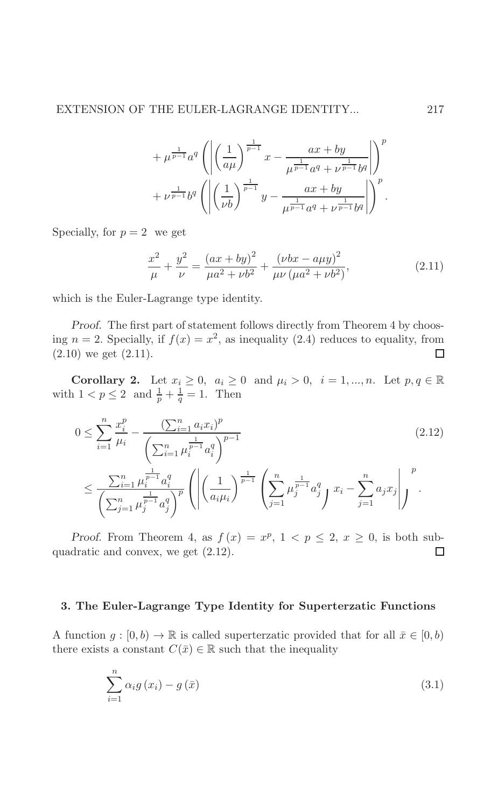$$
+\mu^{\frac{1}{p-1}}a^{q}\left(\left|\left(\frac{1}{a\mu}\right)^{\frac{1}{p-1}}x-\frac{ax+by}{\mu^{\frac{1}{p-1}}a^{q}+\nu^{\frac{1}{p-1}}b^{q}}\right|\right)^{p} +\nu^{\frac{1}{p-1}}b^{q}\left(\left|\left(\frac{1}{\nu b}\right)^{\frac{1}{p-1}}y-\frac{ax+by}{\mu^{\frac{1}{p-1}}a^{q}+\nu^{\frac{1}{p-1}}b^{q}}\right|\right)^{p}.
$$

Specially, for  $p = 2$  we get

$$
\frac{x^2}{\mu} + \frac{y^2}{\nu} = \frac{(ax + by)^2}{\mu a^2 + \nu b^2} + \frac{(\nu bx - a\mu y)^2}{\mu \nu (\mu a^2 + \nu b^2)},
$$
\n(2.11)

which is the Euler-Lagrange type identity.

Proof. The first part of statement follows directly from Theorem 4 by choosing  $n = 2$ . Specially, if  $f(x) = x^2$ , as inequality (2.4) reduces to equality, from  $(2.10)$  we get  $(2.11)$ .  $\Box$ 

**Corollary 2.** Let  $x_i \geq 0$ ,  $a_i \geq 0$  and  $\mu_i > 0$ ,  $i = 1, ..., n$ . Let  $p, q \in \mathbb{R}$ with  $1 < p \le 2$  and  $\frac{1}{p} + \frac{1}{q} = 1$ . Then

$$
0 \le \sum_{i=1}^{n} \frac{x_i^p}{\mu_i} - \frac{\left(\sum_{i=1}^{n} a_i x_i\right)^p}{\left(\sum_{i=1}^{n} \mu_i^{\frac{1}{p-1}} a_i^q\right)^{p-1}}\tag{2.12}
$$

$$
\leq \frac{\sum_{i=1}^n \mu_i^{\frac{1}{p-1}} a_i^q}{\left(\sum_{j=1}^n \mu_j^{\frac{1}{p-1}} a_j^q\right)^p} \left( \left| \left(\frac{1}{a_i \mu_i}\right)^{\frac{1}{p-1}} \left(\sum_{j=1}^n \mu_j^{\frac{1}{p-1}} a_j^q\right) x_i - \sum_{j=1}^n a_j x_j \right| \right)^p.
$$

*Proof.* From Theorem 4, as  $f(x) = x^p$ ,  $1 < p \le 2$ ,  $x \ge 0$ , is both subquadratic and convex, we get  $(2.12)$ .  $\Box$ 

#### 3. The Euler-Lagrange Type Identity for Superterzatic Functions

A function  $g: [0, b) \to \mathbb{R}$  is called superterzatic provided that for all  $\bar{x} \in [0, b)$ there exists a constant  $C(\bar{x}) \in \mathbb{R}$  such that the inequality

$$
\sum_{i=1}^{n} \alpha_i g(x_i) - g(\bar{x}) \tag{3.1}
$$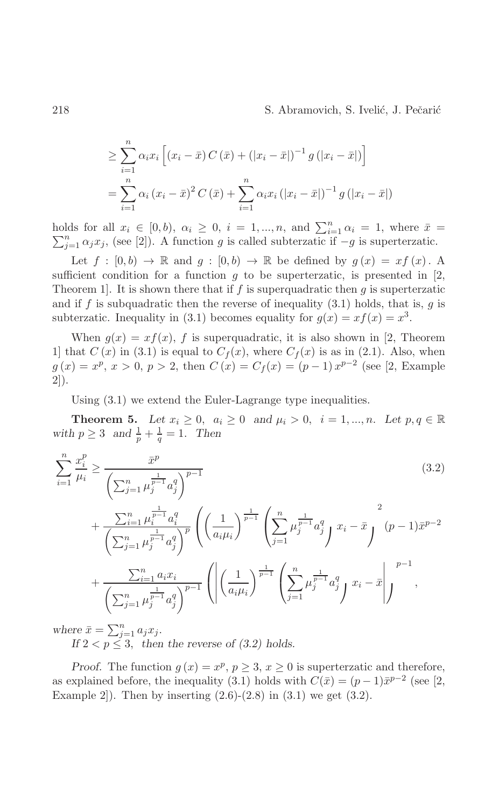$$
\geq \sum_{i=1}^{n} \alpha_i x_i \left[ (x_i - \bar{x}) C (\bar{x}) + (|x_i - \bar{x}|)^{-1} g (|x_i - \bar{x}|) \right]
$$
  
= 
$$
\sum_{i=1}^{n} \alpha_i (x_i - \bar{x})^2 C (\bar{x}) + \sum_{i=1}^{n} \alpha_i x_i (|x_i - \bar{x}|)^{-1} g (|x_i - \bar{x}|)
$$

holds for all  $x_i \in [0, b)$ ,  $\alpha_i \geq 0$ ,  $i = 1, ..., n$ , and  $\sum_{i=1}^{n} \alpha_i = 1$ , where  $\bar{x} =$  $\sum_{i=1}^{n} \alpha_i x_i$ , (see [2]). A function g is called subterzatic if  $-g$  is superterzatic.

Let  $f : [0,b) \to \mathbb{R}$  and  $g : [0,b) \to \mathbb{R}$  be defined by  $g(x) = xf(x)$ . A sufficient condition for a function  $g$  to be superterzatic, is presented in [2, Theorem 1. It is shown there that if  $f$  is superquadratic then  $g$  is superterzatic and if f is subquadratic then the reverse of inequality  $(3.1)$  holds, that is, g is subterzatic. Inequality in (3.1) becomes equality for  $g(x) = xf(x) = x^3$ .

When  $g(x) = xf(x)$ , f is superquadratic, it is also shown in [2, Theorem 1 that  $C(x)$  in (3.1) is equal to  $C_f(x)$ , where  $C_f(x)$  is as in (2.1). Also, when  $g(x) = x^p, x > 0, p > 2$ , then  $C(x) = C_f(x) = (p-1)x^{p-2}$  (see [2, Example  $2$ ).

Using  $(3.1)$  we extend the Euler-Lagrange type inequalities.

**Theorem 5.** Let  $x_i \geq 0$ ,  $a_i \geq 0$  and  $\mu_i > 0$ ,  $i = 1, ..., n$ . Let  $p, q \in \mathbb{R}$ with  $p \geq 3$  and  $\frac{1}{p} + \frac{1}{q} = 1$ . Then

$$
\sum_{i=1}^{n} \frac{x_i^p}{\mu_i} \ge \frac{\bar{x}^p}{\left(\sum_{j=1}^n \mu_j^{\frac{1}{p-1}} a_j^q\right)^{p-1}} \tag{3.2}
$$
\n
$$
+ \frac{\sum_{i=1}^n \mu_i^{\frac{1}{p-1}} a_i^q}{\left(\sum_{j=1}^n \mu_j^{\frac{1}{p-1}} a_j^q\right)^p} \left(\left(\frac{1}{a_i \mu_i}\right)^{\frac{1}{p-1}} \left(\sum_{j=1}^n \mu_j^{\frac{1}{p-1}} a_j^q\right) x_i - \bar{x} \right)^2 + \frac{\sum_{i=1}^n a_i x_i}{\left(\sum_{j=1}^n \mu_j^{\frac{1}{p-1}} a_j^q\right)^{p-1}} \left(\left|\left(\frac{1}{a_i \mu_i}\right)^{\frac{1}{p-1}} \left(\sum_{j=1}^n \mu_j^{\frac{1}{p-1}} a_j^q\right) x_i - \bar{x}\right|\right)^{p-1},
$$

where  $\bar{x} = \sum_{j=1}^{n} a_j x_j$ .<br>If  $2 < p \le 3$ , then the reverse of (3.2) holds.

*Proof.* The function  $g(x) = x^p$ ,  $p \ge 3$ ,  $x \ge 0$  is superterzatic and therefore, as explained before, the inequality (3.1) holds with  $C(\bar{x}) = (p-1)\bar{x}^{p-2}$  (see [2, Example 2.]. Then by inserting  $(2.6)-(2.8)$  in  $(3.1)$  we get  $(3.2)$ .

218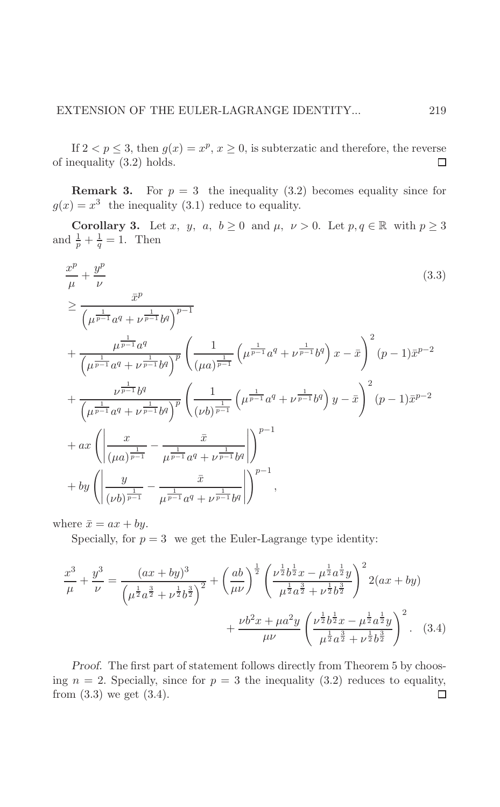If  $2 < p \leq 3$ , then  $g(x) = x^p$ ,  $x \geq 0$ , is subterzatic and therefore, the reverse of inequality  $(3.2)$  holds.  $\Box$ 

**Remark 3.** For  $p = 3$  the inequality (3.2) becomes equality since for  $g(x) = x^3$  the inequality (3.1) reduce to equality.

**Corollary 3.** Let x, y, a,  $b \ge 0$  and  $\mu$ ,  $\nu > 0$ . Let  $p, q \in \mathbb{R}$  with  $p \ge 3$ and  $\frac{1}{p} + \frac{1}{q} = 1$ . Then

$$
\frac{x^{p}}{\mu} + \frac{y^{p}}{\nu}
$$
\n
$$
\geq \frac{\bar{x}^{p}}{\left(\mu^{\frac{1}{p-1}} a^{q} + \nu^{\frac{1}{p-1}} b^{q}\right)^{p-1}} + \frac{\mu^{\frac{1}{p-1}} a^{q}}{\left(\mu^{\frac{1}{p-1}} a^{q} + \nu^{\frac{1}{p-1}} b^{q}\right)^{p}} \left(\frac{1}{\left(\mu a\right)^{\frac{1}{p-1}}} \left(\mu^{\frac{1}{p-1}} a^{q} + \nu^{\frac{1}{p-1}} b^{q}\right) x - \bar{x}\right)^{2} (p-1) \bar{x}^{p-2} + \frac{\nu^{\frac{1}{p-1}} b^{q}}{\left(\mu^{\frac{1}{p-1}} a^{q} + \nu^{\frac{1}{p-1}} b^{q}\right)^{p}} \left(\frac{1}{\left(\nu b\right)^{\frac{1}{p-1}}} \left(\mu^{\frac{1}{p-1}} a^{q} + \nu^{\frac{1}{p-1}} b^{q}\right) y - \bar{x}\right)^{2} (p-1) \bar{x}^{p-2} + ax \left(\left|\frac{x}{\left(\mu a\right)^{\frac{1}{p-1}}} - \frac{\bar{x}}{\mu^{\frac{1}{p-1}} a^{q} + \nu^{\frac{1}{p-1}} b^{q}}\right|\right)^{p-1} + by \left(\left|\frac{y}{\left(\nu b\right)^{\frac{1}{p-1}}} - \frac{\bar{x}}{\mu^{\frac{1}{p-1}} a^{q} + \nu^{\frac{1}{p-1}} b^{q}}\right|\right)^{p-1},
$$
\n(14)

where  $\bar{x} = ax + by$ .

Specially, for  $p = 3$  we get the Euler-Lagrange type identity:

$$
\frac{x^3}{\mu} + \frac{y^3}{\nu} = \frac{(ax + by)^3}{\left(\mu^{\frac{1}{2}}a^{\frac{3}{2}} + \nu^{\frac{1}{2}}b^{\frac{3}{2}}\right)^2} + \left(\frac{ab}{\mu\nu}\right)^{\frac{1}{2}} \left(\frac{\nu^{\frac{1}{2}}b^{\frac{1}{2}}x - \mu^{\frac{1}{2}}a^{\frac{1}{2}}y}{\mu^{\frac{1}{2}}a^{\frac{3}{2}} + \nu^{\frac{1}{2}}b^{\frac{3}{2}}}\right)^2 2(ax + by) + \frac{\nu b^2x + \mu a^2y}{\mu\nu} \left(\frac{\nu^{\frac{1}{2}}b^{\frac{1}{2}}x - \mu^{\frac{1}{2}}a^{\frac{1}{2}}y}{\mu^{\frac{1}{2}}a^{\frac{3}{2}} + \nu^{\frac{1}{2}}b^{\frac{3}{2}}}\right)^2.
$$
 (3.4)

Proof. The first part of statement follows directly from Theorem 5 by choosing  $n = 2$ . Specially, since for  $p = 3$  the inequality (3.2) reduces to equality, from  $(3.3)$  we get  $(3.4)$ .  $\Box$